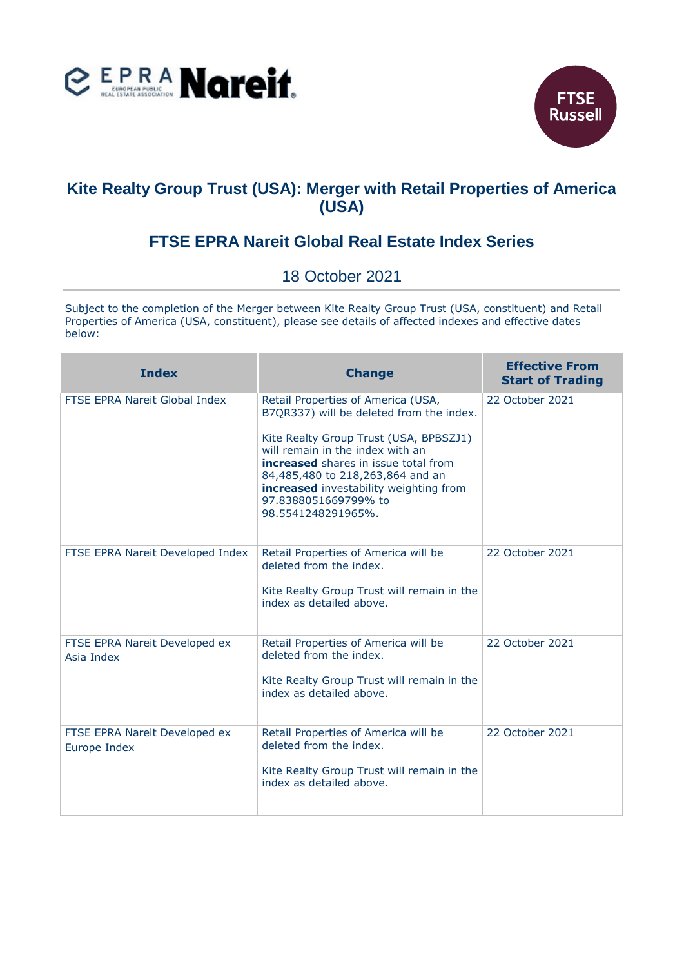



## **Kite Realty Group Trust (USA): Merger with Retail Properties of America (USA)**

## **FTSE EPRA Nareit Global Real Estate Index Series**

## 18 October 2021

Subject to the completion of the Merger between Kite Realty Group Trust (USA, constituent) and Retail Properties of America (USA, constituent), please see details of affected indexes and effective dates below:

| <b>Index</b>                                  | <b>Change</b>                                                                                                                                                                                                                                                                                                                    | <b>Effective From</b><br><b>Start of Trading</b> |
|-----------------------------------------------|----------------------------------------------------------------------------------------------------------------------------------------------------------------------------------------------------------------------------------------------------------------------------------------------------------------------------------|--------------------------------------------------|
| FTSE EPRA Nareit Global Index                 | Retail Properties of America (USA,<br>B7QR337) will be deleted from the index.<br>Kite Realty Group Trust (USA, BPBSZJ1)<br>will remain in the index with an<br>increased shares in issue total from<br>84,485,480 to 218,263,864 and an<br>increased investability weighting from<br>97.8388051669799% to<br>98.5541248291965%. | 22 October 2021                                  |
| FTSE EPRA Nareit Developed Index              | Retail Properties of America will be<br>deleted from the index.<br>Kite Realty Group Trust will remain in the<br>index as detailed above.                                                                                                                                                                                        | 22 October 2021                                  |
| FTSE EPRA Nareit Developed ex<br>Asia Index   | Retail Properties of America will be<br>deleted from the index.<br>Kite Realty Group Trust will remain in the<br>index as detailed above.                                                                                                                                                                                        | 22 October 2021                                  |
| FTSE EPRA Nareit Developed ex<br>Europe Index | Retail Properties of America will be<br>deleted from the index.<br>Kite Realty Group Trust will remain in the<br>index as detailed above.                                                                                                                                                                                        | 22 October 2021                                  |